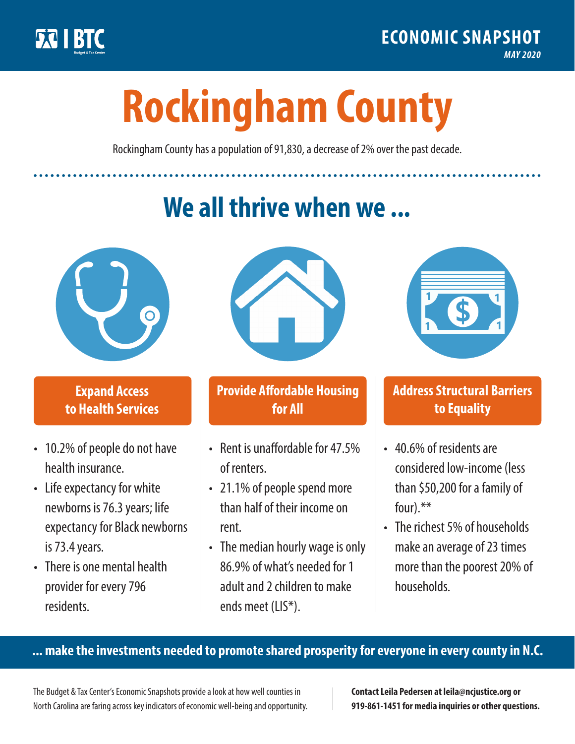

**1**

# **Rockingham County**

Rockingham County has a population of 91,830, a decrease of 2% over the past decade.

# **We all thrive when we ...**



**\$ <sup>1</sup>**

**\$ <sup>1</sup>**

#### **Expand Access to Health Services**

- 10.2% of people do not have health insurance.
- Life expectancy for white newborns is 76.3years; life expectancy for Black newborns is 73.4years.
- There is one mental health provider for every 796 residents.



## **Provide Affordable Housing for All**

- Rent is unaffordable for 47.5% of renters.
- 21.1% of people spend more than half of their income on rent.
- The median hourly wage is only 86.9% of what's needed for 1 adult and 2 children to make ends meet (LIS\*).



## **Address Structural Barriers to Equality**

- 40.6% of residents are considered low-income (less than \$50,200 for a family of four).\*\*
- The richest 5% of households make an average of 23 times more than the poorest 20% of households.

#### **... make the investments needed to promote shared prosperity for everyone in every county in N.C.**

The Budget & Tax Center's Economic Snapshots provide a look at how well counties in North Carolina are faring across key indicators of economic well-being and opportunity.